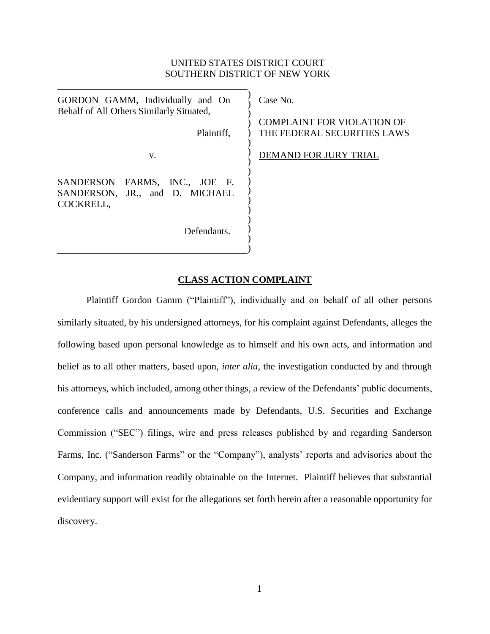# UNITED STATES DISTRICT COURT SOUTHERN DISTRICT OF NEW YORK

| GORDON GAMM, Individually and On<br>Behalf of All Others Similarly Situated,<br>Plaintiff, | Case No.<br><b>COMPLAINT FOR VIOLATION OF</b><br>THE FEDERAL SECURITIES LAWS |
|--------------------------------------------------------------------------------------------|------------------------------------------------------------------------------|
| V.                                                                                         | <b>DEMAND FOR JURY TRIAL</b>                                                 |
| SANDERSON FARMS, INC., JOE F.<br>SANDERSON, JR., and D. MICHAEL<br>COCKRELL,               |                                                                              |
| Defendants.                                                                                |                                                                              |

# **CLASS ACTION COMPLAINT**

Plaintiff Gordon Gamm ("Plaintiff"), individually and on behalf of all other persons similarly situated, by his undersigned attorneys, for his complaint against Defendants, alleges the following based upon personal knowledge as to himself and his own acts, and information and belief as to all other matters, based upon, *inter alia*, the investigation conducted by and through his attorneys, which included, among other things, a review of the Defendants' public documents, conference calls and announcements made by Defendants, U.S. Securities and Exchange Commission ("SEC") filings, wire and press releases published by and regarding Sanderson Farms, Inc. ("Sanderson Farms" or the "Company"), analysts' reports and advisories about the Company, and information readily obtainable on the Internet. Plaintiff believes that substantial evidentiary support will exist for the allegations set forth herein after a reasonable opportunity for discovery.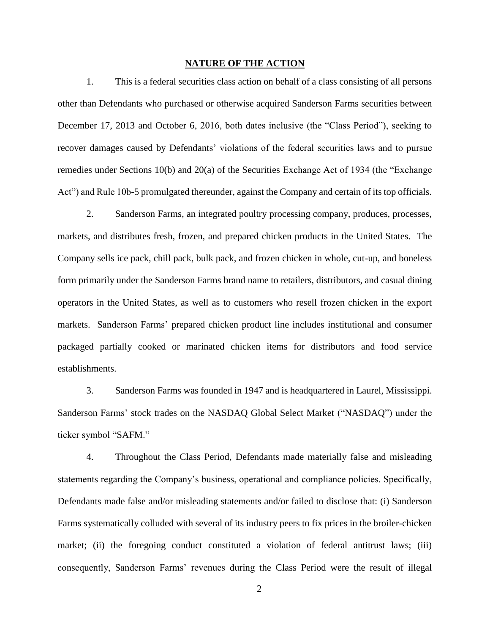## **NATURE OF THE ACTION**

1. This is a federal securities class action on behalf of a class consisting of all persons other than Defendants who purchased or otherwise acquired Sanderson Farms securities between December 17, 2013 and October 6, 2016, both dates inclusive (the "Class Period"), seeking to recover damages caused by Defendants' violations of the federal securities laws and to pursue remedies under Sections 10(b) and 20(a) of the Securities Exchange Act of 1934 (the "Exchange Act") and Rule 10b-5 promulgated thereunder, against the Company and certain of its top officials.

2. Sanderson Farms, an integrated poultry processing company, produces, processes, markets, and distributes fresh, frozen, and prepared chicken products in the United States. The Company sells ice pack, chill pack, bulk pack, and frozen chicken in whole, cut-up, and boneless form primarily under the Sanderson Farms brand name to retailers, distributors, and casual dining operators in the United States, as well as to customers who resell frozen chicken in the export markets. Sanderson Farms' prepared chicken product line includes institutional and consumer packaged partially cooked or marinated chicken items for distributors and food service establishments.

3. Sanderson Farms was founded in 1947 and is headquartered in Laurel, Mississippi. Sanderson Farms' stock trades on the NASDAQ Global Select Market ("NASDAQ") under the ticker symbol "SAFM."

4. Throughout the Class Period, Defendants made materially false and misleading statements regarding the Company's business, operational and compliance policies. Specifically, Defendants made false and/or misleading statements and/or failed to disclose that: (i) Sanderson Farms systematically colluded with several of its industry peers to fix prices in the broiler-chicken market; (ii) the foregoing conduct constituted a violation of federal antitrust laws; (iii) consequently, Sanderson Farms' revenues during the Class Period were the result of illegal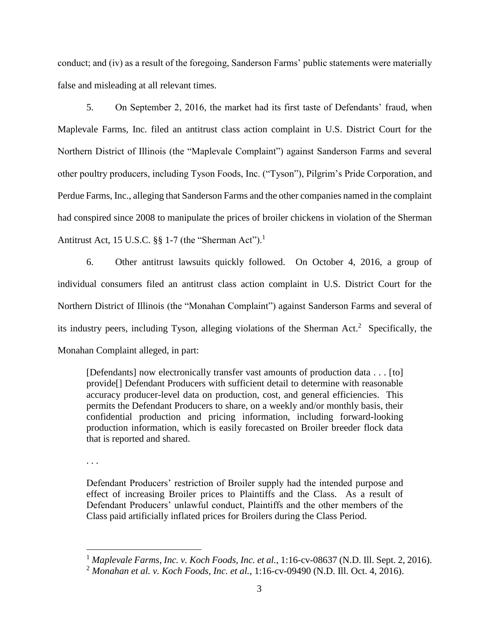conduct; and (iv) as a result of the foregoing, Sanderson Farms' public statements were materially false and misleading at all relevant times.

5. On September 2, 2016, the market had its first taste of Defendants' fraud, when Maplevale Farms, Inc. filed an antitrust class action complaint in U.S. District Court for the Northern District of Illinois (the "Maplevale Complaint") against Sanderson Farms and several other poultry producers, including Tyson Foods, Inc. ("Tyson"), Pilgrim's Pride Corporation, and Perdue Farms, Inc., alleging that Sanderson Farms and the other companies named in the complaint had conspired since 2008 to manipulate the prices of broiler chickens in violation of the Sherman Antitrust Act, 15 U.S.C.  $\S$ § 1-7 (the "Sherman Act").<sup>1</sup>

6. Other antitrust lawsuits quickly followed. On October 4, 2016, a group of individual consumers filed an antitrust class action complaint in U.S. District Court for the Northern District of Illinois (the "Monahan Complaint") against Sanderson Farms and several of its industry peers, including Tyson, alleging violations of the Sherman Act. 2 Specifically, the Monahan Complaint alleged, in part:

[Defendants] now electronically transfer vast amounts of production data . . . [to] provide[] Defendant Producers with sufficient detail to determine with reasonable accuracy producer-level data on production, cost, and general efficiencies. This permits the Defendant Producers to share, on a weekly and/or monthly basis, their confidential production and pricing information, including forward-looking production information, which is easily forecasted on Broiler breeder flock data that is reported and shared.

. . .

 $\overline{a}$ 

Defendant Producers' restriction of Broiler supply had the intended purpose and effect of increasing Broiler prices to Plaintiffs and the Class. As a result of Defendant Producers' unlawful conduct, Plaintiffs and the other members of the Class paid artificially inflated prices for Broilers during the Class Period.

<sup>1</sup> *Maplevale Farms, Inc. v. Koch Foods, Inc. et al.*, 1:16-cv-08637 (N.D. Ill. Sept. 2, 2016).

<sup>2</sup> *Monahan et al. v. Koch Foods, Inc. et al.*, 1:16-cv-09490 (N.D. Ill. Oct. 4, 2016).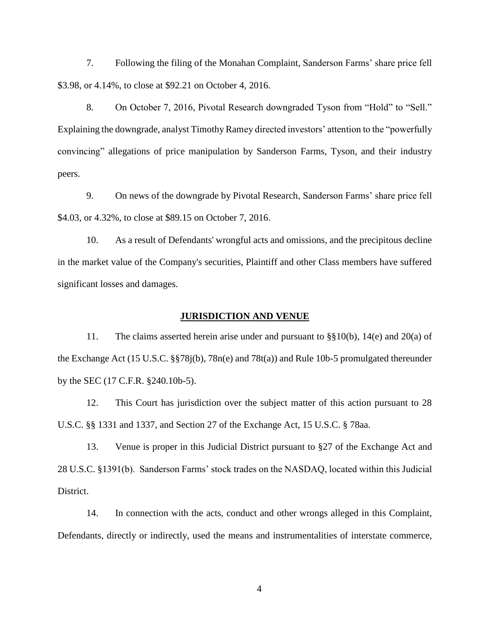7. Following the filing of the Monahan Complaint, Sanderson Farms' share price fell \$3.98, or 4.14%, to close at \$92.21 on October 4, 2016.

8. On October 7, 2016, Pivotal Research downgraded Tyson from "Hold" to "Sell." Explaining the downgrade, analyst Timothy Ramey directed investors' attention to the "powerfully convincing" allegations of price manipulation by Sanderson Farms, Tyson, and their industry peers.

9. On news of the downgrade by Pivotal Research, Sanderson Farms' share price fell \$4.03, or 4.32%, to close at \$89.15 on October 7, 2016.

10. As a result of Defendants' wrongful acts and omissions, and the precipitous decline in the market value of the Company's securities, Plaintiff and other Class members have suffered significant losses and damages.

## **JURISDICTION AND VENUE**

11. The claims asserted herein arise under and pursuant to §§10(b), 14(e) and 20(a) of the Exchange Act (15 U.S.C. §§78j(b), 78n(e) and 78t(a)) and Rule 10b-5 promulgated thereunder by the SEC (17 C.F.R. §240.10b-5).

12. This Court has jurisdiction over the subject matter of this action pursuant to 28 U.S.C. §§ 1331 and 1337, and Section 27 of the Exchange Act, 15 U.S.C. § 78aa.

13. Venue is proper in this Judicial District pursuant to §27 of the Exchange Act and 28 U.S.C. §1391(b). Sanderson Farms' stock trades on the NASDAQ, located within this Judicial District.

14. In connection with the acts, conduct and other wrongs alleged in this Complaint, Defendants, directly or indirectly, used the means and instrumentalities of interstate commerce,

4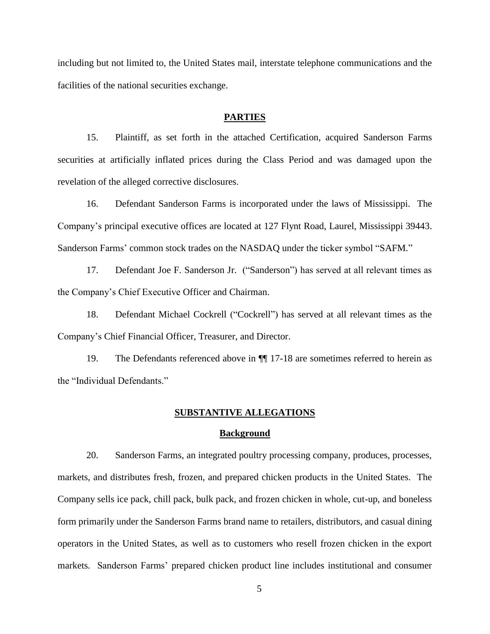including but not limited to, the United States mail, interstate telephone communications and the facilities of the national securities exchange.

## **PARTIES**

15. Plaintiff, as set forth in the attached Certification, acquired Sanderson Farms securities at artificially inflated prices during the Class Period and was damaged upon the revelation of the alleged corrective disclosures.

16. Defendant Sanderson Farms is incorporated under the laws of Mississippi. The Company's principal executive offices are located at 127 Flynt Road, Laurel, Mississippi 39443. Sanderson Farms' common stock trades on the NASDAQ under the ticker symbol "SAFM."

17. Defendant Joe F. Sanderson Jr. ("Sanderson") has served at all relevant times as the Company's Chief Executive Officer and Chairman.

18. Defendant Michael Cockrell ("Cockrell") has served at all relevant times as the Company's Chief Financial Officer, Treasurer, and Director.

19. The Defendants referenced above in ¶¶ 17-18 are sometimes referred to herein as the "Individual Defendants."

## **SUBSTANTIVE ALLEGATIONS**

## **Background**

20. Sanderson Farms, an integrated poultry processing company, produces, processes, markets, and distributes fresh, frozen, and prepared chicken products in the United States. The Company sells ice pack, chill pack, bulk pack, and frozen chicken in whole, cut-up, and boneless form primarily under the Sanderson Farms brand name to retailers, distributors, and casual dining operators in the United States, as well as to customers who resell frozen chicken in the export markets. Sanderson Farms' prepared chicken product line includes institutional and consumer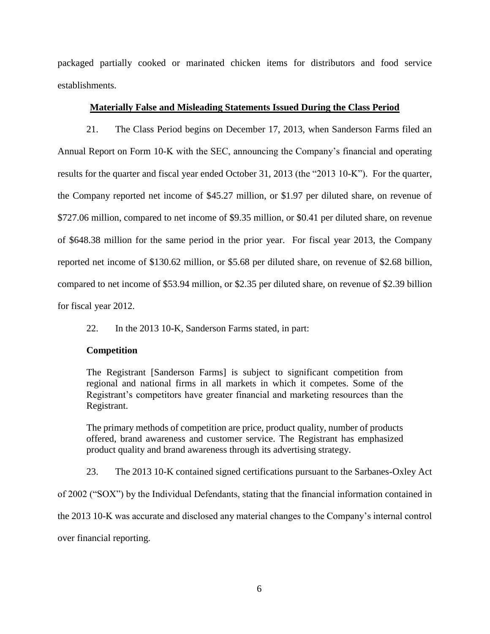packaged partially cooked or marinated chicken items for distributors and food service establishments.

## **Materially False and Misleading Statements Issued During the Class Period**

21. The Class Period begins on December 17, 2013, when Sanderson Farms filed an Annual Report on Form 10-K with the SEC, announcing the Company's financial and operating results for the quarter and fiscal year ended October 31, 2013 (the "2013 10-K"). For the quarter, the Company reported net income of \$45.27 million, or \$1.97 per diluted share, on revenue of \$727.06 million, compared to net income of \$9.35 million, or \$0.41 per diluted share, on revenue of \$648.38 million for the same period in the prior year. For fiscal year 2013, the Company reported net income of \$130.62 million, or \$5.68 per diluted share, on revenue of \$2.68 billion, compared to net income of \$53.94 million, or \$2.35 per diluted share, on revenue of \$2.39 billion for fiscal year 2012.

22. In the 2013 10-K, Sanderson Farms stated, in part:

## **Competition**

The Registrant [Sanderson Farms] is subject to significant competition from regional and national firms in all markets in which it competes. Some of the Registrant's competitors have greater financial and marketing resources than the Registrant.

The primary methods of competition are price, product quality, number of products offered, brand awareness and customer service. The Registrant has emphasized product quality and brand awareness through its advertising strategy.

23. The 2013 10-K contained signed certifications pursuant to the Sarbanes-Oxley Act

of 2002 ("SOX") by the Individual Defendants, stating that the financial information contained in

the 2013 10-K was accurate and disclosed any material changes to the Company's internal control

over financial reporting.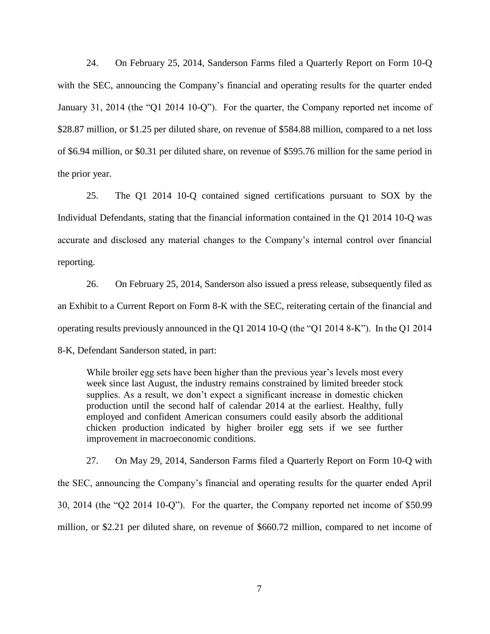24. On February 25, 2014, Sanderson Farms filed a Quarterly Report on Form 10-Q with the SEC, announcing the Company's financial and operating results for the quarter ended January 31, 2014 (the "Q1 2014 10-Q"). For the quarter, the Company reported net income of \$28.87 million, or \$1.25 per diluted share, on revenue of \$584.88 million, compared to a net loss of \$6.94 million, or \$0.31 per diluted share, on revenue of \$595.76 million for the same period in the prior year.

25. The Q1 2014 10-Q contained signed certifications pursuant to SOX by the Individual Defendants, stating that the financial information contained in the Q1 2014 10-Q was accurate and disclosed any material changes to the Company's internal control over financial reporting.

26. On February 25, 2014, Sanderson also issued a press release, subsequently filed as an Exhibit to a Current Report on Form 8-K with the SEC, reiterating certain of the financial and operating results previously announced in the Q1 2014 10-Q (the "Q1 2014 8-K"). In the Q1 2014 8-K, Defendant Sanderson stated, in part:

While broiler egg sets have been higher than the previous year's levels most every week since last August, the industry remains constrained by limited breeder stock supplies. As a result, we don't expect a significant increase in domestic chicken production until the second half of calendar 2014 at the earliest. Healthy, fully employed and confident American consumers could easily absorb the additional chicken production indicated by higher broiler egg sets if we see further improvement in macroeconomic conditions.

27. On May 29, 2014, Sanderson Farms filed a Quarterly Report on Form 10-Q with the SEC, announcing the Company's financial and operating results for the quarter ended April 30, 2014 (the "Q2 2014 10-Q"). For the quarter, the Company reported net income of \$50.99 million, or \$2.21 per diluted share, on revenue of \$660.72 million, compared to net income of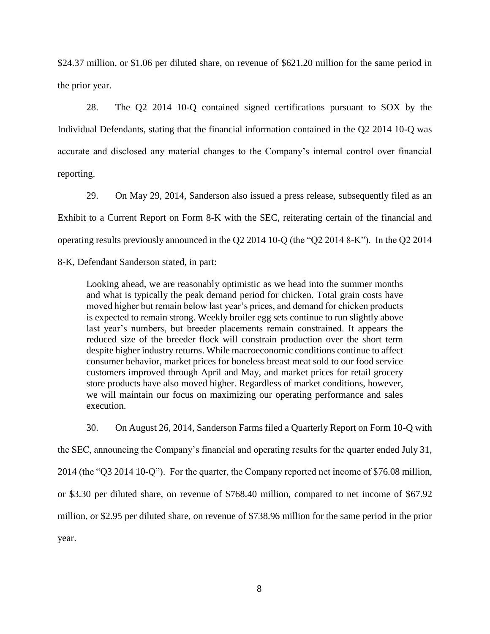\$24.37 million, or \$1.06 per diluted share, on revenue of \$621.20 million for the same period in the prior year.

28. The Q2 2014 10-Q contained signed certifications pursuant to SOX by the Individual Defendants, stating that the financial information contained in the Q2 2014 10-Q was accurate and disclosed any material changes to the Company's internal control over financial reporting.

29. On May 29, 2014, Sanderson also issued a press release, subsequently filed as an Exhibit to a Current Report on Form 8-K with the SEC, reiterating certain of the financial and operating results previously announced in the Q2 2014 10-Q (the "Q2 2014 8-K"). In the Q2 2014

8-K, Defendant Sanderson stated, in part:

Looking ahead, we are reasonably optimistic as we head into the summer months and what is typically the peak demand period for chicken. Total grain costs have moved higher but remain below last year's prices, and demand for chicken products is expected to remain strong. Weekly broiler egg sets continue to run slightly above last year's numbers, but breeder placements remain constrained. It appears the reduced size of the breeder flock will constrain production over the short term despite higher industry returns. While macroeconomic conditions continue to affect consumer behavior, market prices for boneless breast meat sold to our food service customers improved through April and May, and market prices for retail grocery store products have also moved higher. Regardless of market conditions, however, we will maintain our focus on maximizing our operating performance and sales execution.

30. On August 26, 2014, Sanderson Farms filed a Quarterly Report on Form 10-Q with the SEC, announcing the Company's financial and operating results for the quarter ended July 31, 2014 (the "Q3 2014 10-Q"). For the quarter, the Company reported net income of \$76.08 million, or \$3.30 per diluted share, on revenue of \$768.40 million, compared to net income of \$67.92 million, or \$2.95 per diluted share, on revenue of \$738.96 million for the same period in the prior year.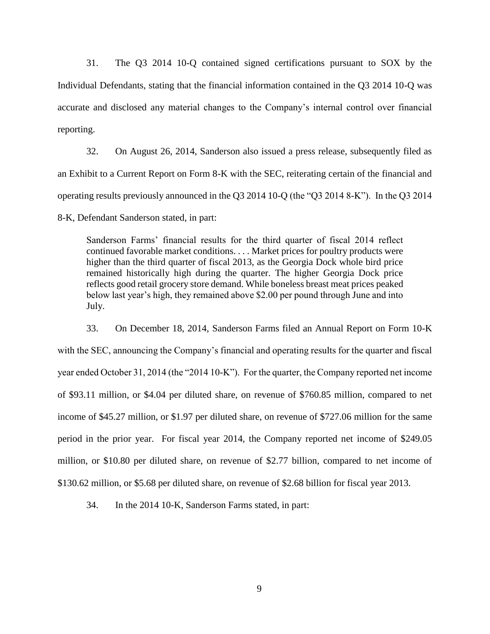31. The Q3 2014 10-Q contained signed certifications pursuant to SOX by the Individual Defendants, stating that the financial information contained in the Q3 2014 10-Q was accurate and disclosed any material changes to the Company's internal control over financial reporting.

32. On August 26, 2014, Sanderson also issued a press release, subsequently filed as an Exhibit to a Current Report on Form 8-K with the SEC, reiterating certain of the financial and operating results previously announced in the Q3 2014 10-Q (the "Q3 2014 8-K"). In the Q3 2014

8-K, Defendant Sanderson stated, in part:

Sanderson Farms' financial results for the third quarter of fiscal 2014 reflect continued favorable market conditions. . . . Market prices for poultry products were higher than the third quarter of fiscal 2013, as the Georgia Dock whole bird price remained historically high during the quarter. The higher Georgia Dock price reflects good retail grocery store demand. While boneless breast meat prices peaked below last year's high, they remained above \$2.00 per pound through June and into July.

33. On December 18, 2014, Sanderson Farms filed an Annual Report on Form 10-K with the SEC, announcing the Company's financial and operating results for the quarter and fiscal year ended October 31, 2014 (the "2014 10-K"). For the quarter, the Company reported net income of \$93.11 million, or \$4.04 per diluted share, on revenue of \$760.85 million, compared to net income of \$45.27 million, or \$1.97 per diluted share, on revenue of \$727.06 million for the same period in the prior year. For fiscal year 2014, the Company reported net income of \$249.05 million, or \$10.80 per diluted share, on revenue of \$2.77 billion, compared to net income of \$130.62 million, or \$5.68 per diluted share, on revenue of \$2.68 billion for fiscal year 2013.

34. In the 2014 10-K, Sanderson Farms stated, in part: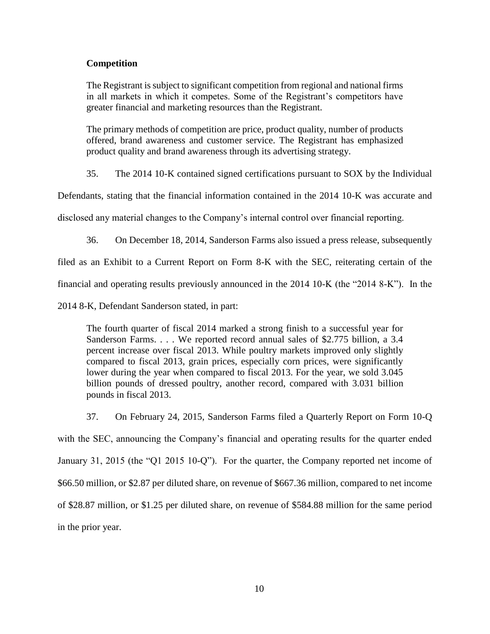## **Competition**

The Registrant is subject to significant competition from regional and national firms in all markets in which it competes. Some of the Registrant's competitors have greater financial and marketing resources than the Registrant.

The primary methods of competition are price, product quality, number of products offered, brand awareness and customer service. The Registrant has emphasized product quality and brand awareness through its advertising strategy.

35. The 2014 10-K contained signed certifications pursuant to SOX by the Individual

Defendants, stating that the financial information contained in the 2014 10-K was accurate and

disclosed any material changes to the Company's internal control over financial reporting.

36. On December 18, 2014, Sanderson Farms also issued a press release, subsequently

filed as an Exhibit to a Current Report on Form 8-K with the SEC, reiterating certain of the

financial and operating results previously announced in the 2014 10-K (the "2014 8-K"). In the

2014 8-K, Defendant Sanderson stated, in part:

The fourth quarter of fiscal 2014 marked a strong finish to a successful year for Sanderson Farms. . . . We reported record annual sales of \$2.775 billion, a 3.4 percent increase over fiscal 2013. While poultry markets improved only slightly compared to fiscal 2013, grain prices, especially corn prices, were significantly lower during the year when compared to fiscal 2013. For the year, we sold 3.045 billion pounds of dressed poultry, another record, compared with 3.031 billion pounds in fiscal 2013.

37. On February 24, 2015, Sanderson Farms filed a Quarterly Report on Form 10-Q with the SEC, announcing the Company's financial and operating results for the quarter ended January 31, 2015 (the "Q1 2015 10-Q"). For the quarter, the Company reported net income of \$66.50 million, or \$2.87 per diluted share, on revenue of \$667.36 million, compared to net income of \$28.87 million, or \$1.25 per diluted share, on revenue of \$584.88 million for the same period in the prior year.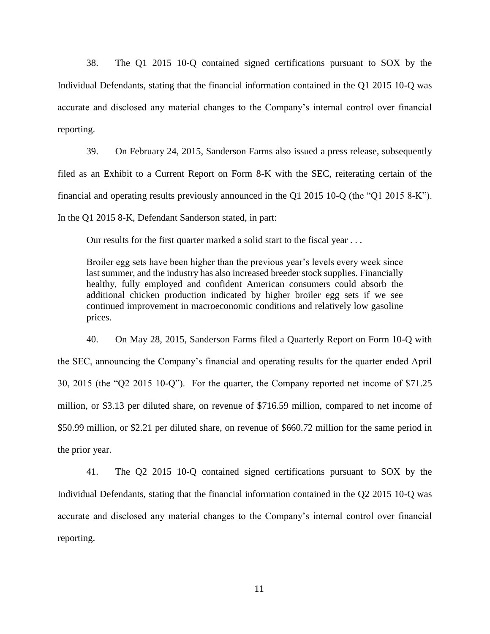38. The Q1 2015 10-Q contained signed certifications pursuant to SOX by the Individual Defendants, stating that the financial information contained in the Q1 2015 10-Q was accurate and disclosed any material changes to the Company's internal control over financial reporting.

39. On February 24, 2015, Sanderson Farms also issued a press release, subsequently filed as an Exhibit to a Current Report on Form 8-K with the SEC, reiterating certain of the financial and operating results previously announced in the Q1 2015 10-Q (the "Q1 2015 8-K"). In the Q1 2015 8-K, Defendant Sanderson stated, in part:

Our results for the first quarter marked a solid start to the fiscal year . . .

Broiler egg sets have been higher than the previous year's levels every week since last summer, and the industry has also increased breeder stock supplies. Financially healthy, fully employed and confident American consumers could absorb the additional chicken production indicated by higher broiler egg sets if we see continued improvement in macroeconomic conditions and relatively low gasoline prices.

40. On May 28, 2015, Sanderson Farms filed a Quarterly Report on Form 10-Q with the SEC, announcing the Company's financial and operating results for the quarter ended April 30, 2015 (the "Q2 2015 10-Q"). For the quarter, the Company reported net income of \$71.25 million, or \$3.13 per diluted share, on revenue of \$716.59 million, compared to net income of \$50.99 million, or \$2.21 per diluted share, on revenue of \$660.72 million for the same period in the prior year.

41. The Q2 2015 10-Q contained signed certifications pursuant to SOX by the Individual Defendants, stating that the financial information contained in the Q2 2015 10-Q was accurate and disclosed any material changes to the Company's internal control over financial reporting.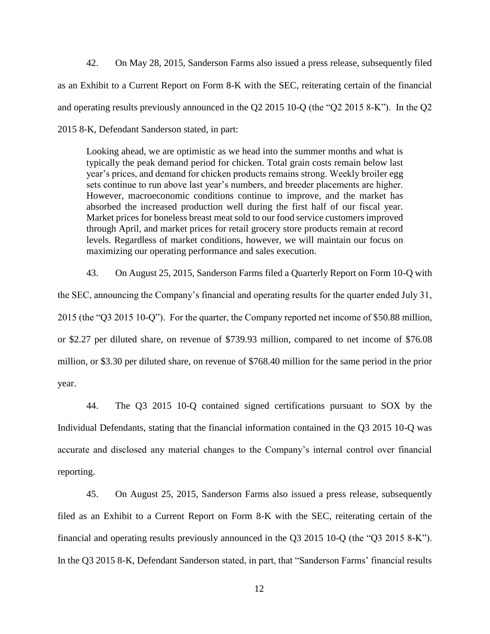42. On May 28, 2015, Sanderson Farms also issued a press release, subsequently filed as an Exhibit to a Current Report on Form 8-K with the SEC, reiterating certain of the financial and operating results previously announced in the Q2 2015 10-Q (the "Q2 2015 8-K"). In the Q2 2015 8-K, Defendant Sanderson stated, in part:

Looking ahead, we are optimistic as we head into the summer months and what is typically the peak demand period for chicken. Total grain costs remain below last year's prices, and demand for chicken products remains strong. Weekly broiler egg sets continue to run above last year's numbers, and breeder placements are higher. However, macroeconomic conditions continue to improve, and the market has absorbed the increased production well during the first half of our fiscal year. Market prices for boneless breast meat sold to our food service customers improved through April, and market prices for retail grocery store products remain at record levels. Regardless of market conditions, however, we will maintain our focus on maximizing our operating performance and sales execution.

43. On August 25, 2015, Sanderson Farms filed a Quarterly Report on Form 10-Q with the SEC, announcing the Company's financial and operating results for the quarter ended July 31, 2015 (the "Q3 2015 10-Q"). For the quarter, the Company reported net income of \$50.88 million, or \$2.27 per diluted share, on revenue of \$739.93 million, compared to net income of \$76.08 million, or \$3.30 per diluted share, on revenue of \$768.40 million for the same period in the prior year.

44. The Q3 2015 10-Q contained signed certifications pursuant to SOX by the Individual Defendants, stating that the financial information contained in the Q3 2015 10-Q was accurate and disclosed any material changes to the Company's internal control over financial reporting.

45. On August 25, 2015, Sanderson Farms also issued a press release, subsequently filed as an Exhibit to a Current Report on Form 8-K with the SEC, reiterating certain of the financial and operating results previously announced in the Q3 2015 10-Q (the "Q3 2015 8-K"). In the Q3 2015 8-K, Defendant Sanderson stated, in part, that "Sanderson Farms' financial results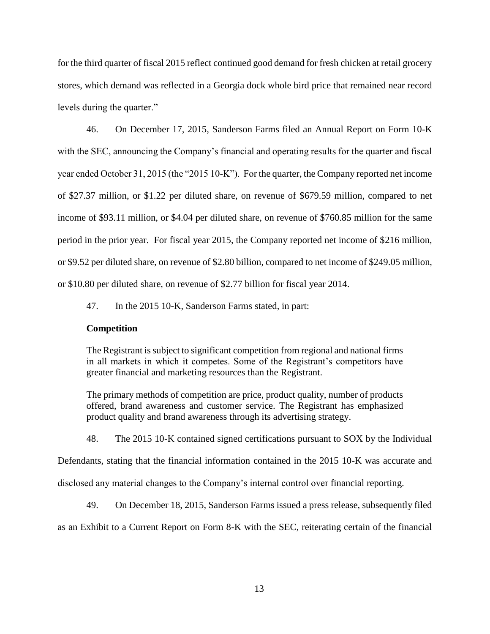for the third quarter of fiscal 2015 reflect continued good demand for fresh chicken at retail grocery stores, which demand was reflected in a Georgia dock whole bird price that remained near record levels during the quarter."

46. On December 17, 2015, Sanderson Farms filed an Annual Report on Form 10-K with the SEC, announcing the Company's financial and operating results for the quarter and fiscal year ended October 31, 2015 (the "2015 10-K"). For the quarter, the Company reported net income of \$27.37 million, or \$1.22 per diluted share, on revenue of \$679.59 million, compared to net income of \$93.11 million, or \$4.04 per diluted share, on revenue of \$760.85 million for the same period in the prior year. For fiscal year 2015, the Company reported net income of \$216 million, or \$9.52 per diluted share, on revenue of \$2.80 billion, compared to net income of \$249.05 million, or \$10.80 per diluted share, on revenue of \$2.77 billion for fiscal year 2014.

47. In the 2015 10-K, Sanderson Farms stated, in part:

## **Competition**

The Registrant is subject to significant competition from regional and national firms in all markets in which it competes. Some of the Registrant's competitors have greater financial and marketing resources than the Registrant.

The primary methods of competition are price, product quality, number of products offered, brand awareness and customer service. The Registrant has emphasized product quality and brand awareness through its advertising strategy.

48. The 2015 10-K contained signed certifications pursuant to SOX by the Individual

Defendants, stating that the financial information contained in the 2015 10-K was accurate and

disclosed any material changes to the Company's internal control over financial reporting.

49. On December 18, 2015, Sanderson Farms issued a press release, subsequently filed

as an Exhibit to a Current Report on Form 8-K with the SEC, reiterating certain of the financial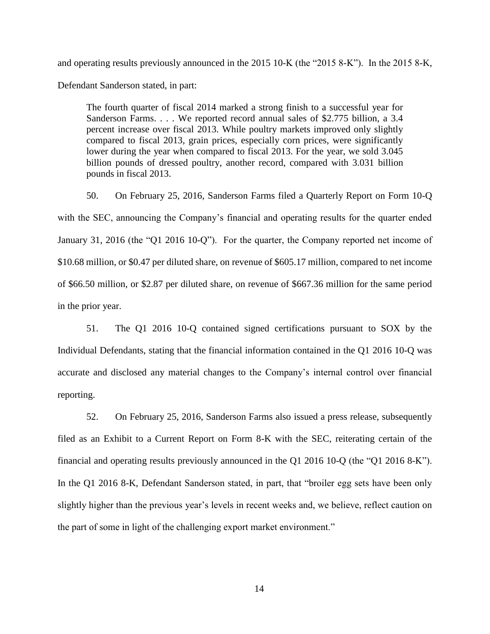and operating results previously announced in the 2015 10-K (the "2015 8-K"). In the 2015 8-K, Defendant Sanderson stated, in part:

The fourth quarter of fiscal 2014 marked a strong finish to a successful year for Sanderson Farms. . . . We reported record annual sales of \$2.775 billion, a 3.4 percent increase over fiscal 2013. While poultry markets improved only slightly compared to fiscal 2013, grain prices, especially corn prices, were significantly lower during the year when compared to fiscal 2013. For the year, we sold 3.045 billion pounds of dressed poultry, another record, compared with 3.031 billion pounds in fiscal 2013.

50. On February 25, 2016, Sanderson Farms filed a Quarterly Report on Form 10-Q with the SEC, announcing the Company's financial and operating results for the quarter ended January 31, 2016 (the "Q1 2016 10-Q"). For the quarter, the Company reported net income of \$10.68 million, or \$0.47 per diluted share, on revenue of \$605.17 million, compared to net income of \$66.50 million, or \$2.87 per diluted share, on revenue of \$667.36 million for the same period in the prior year.

51. The Q1 2016 10-Q contained signed certifications pursuant to SOX by the Individual Defendants, stating that the financial information contained in the Q1 2016 10-Q was accurate and disclosed any material changes to the Company's internal control over financial reporting.

52. On February 25, 2016, Sanderson Farms also issued a press release, subsequently filed as an Exhibit to a Current Report on Form 8-K with the SEC, reiterating certain of the financial and operating results previously announced in the Q1 2016 10-Q (the "Q1 2016 8-K"). In the Q1 2016 8-K, Defendant Sanderson stated, in part, that "broiler egg sets have been only slightly higher than the previous year's levels in recent weeks and, we believe, reflect caution on the part of some in light of the challenging export market environment."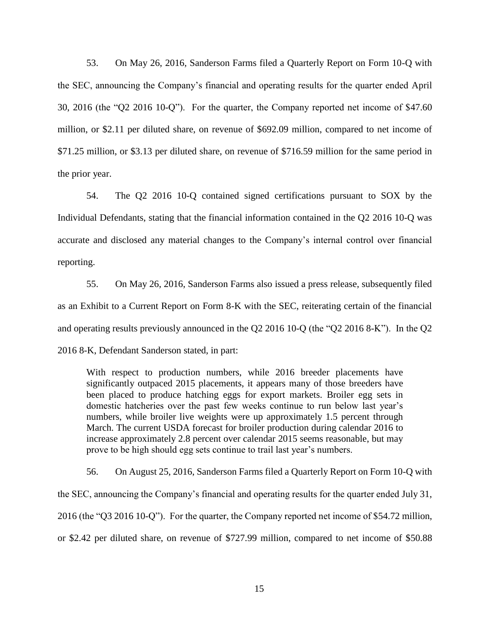53. On May 26, 2016, Sanderson Farms filed a Quarterly Report on Form 10-Q with the SEC, announcing the Company's financial and operating results for the quarter ended April 30, 2016 (the "Q2 2016 10-Q"). For the quarter, the Company reported net income of \$47.60 million, or \$2.11 per diluted share, on revenue of \$692.09 million, compared to net income of \$71.25 million, or \$3.13 per diluted share, on revenue of \$716.59 million for the same period in the prior year.

54. The Q2 2016 10-Q contained signed certifications pursuant to SOX by the Individual Defendants, stating that the financial information contained in the Q2 2016 10-Q was accurate and disclosed any material changes to the Company's internal control over financial reporting.

55. On May 26, 2016, Sanderson Farms also issued a press release, subsequently filed as an Exhibit to a Current Report on Form 8-K with the SEC, reiterating certain of the financial and operating results previously announced in the Q2 2016 10-Q (the "Q2 2016 8-K"). In the Q2 2016 8-K, Defendant Sanderson stated, in part:

With respect to production numbers, while 2016 breeder placements have significantly outpaced 2015 placements, it appears many of those breeders have been placed to produce hatching eggs for export markets. Broiler egg sets in domestic hatcheries over the past few weeks continue to run below last year's numbers, while broiler live weights were up approximately 1.5 percent through March. The current USDA forecast for broiler production during calendar 2016 to increase approximately 2.8 percent over calendar 2015 seems reasonable, but may prove to be high should egg sets continue to trail last year's numbers.

56. On August 25, 2016, Sanderson Farms filed a Quarterly Report on Form 10-Q with the SEC, announcing the Company's financial and operating results for the quarter ended July 31, 2016 (the "Q3 2016 10-Q"). For the quarter, the Company reported net income of \$54.72 million, or \$2.42 per diluted share, on revenue of \$727.99 million, compared to net income of \$50.88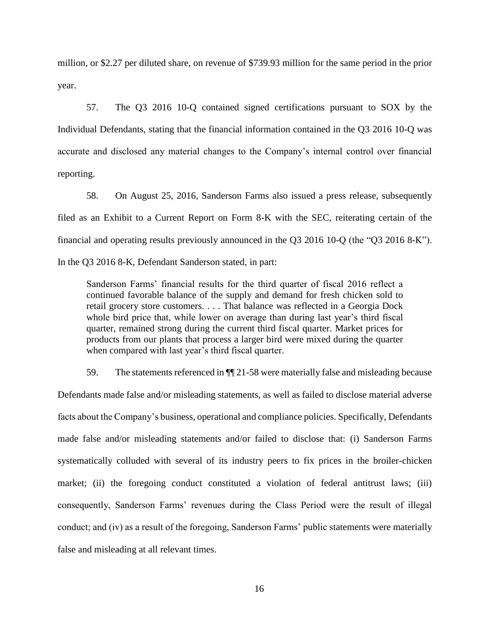million, or \$2.27 per diluted share, on revenue of \$739.93 million for the same period in the prior year.

57. The Q3 2016 10-Q contained signed certifications pursuant to SOX by the Individual Defendants, stating that the financial information contained in the Q3 2016 10-Q was accurate and disclosed any material changes to the Company's internal control over financial reporting.

58. On August 25, 2016, Sanderson Farms also issued a press release, subsequently filed as an Exhibit to a Current Report on Form 8-K with the SEC, reiterating certain of the financial and operating results previously announced in the Q3 2016 10-Q (the "Q3 2016 8-K").

In the Q3 2016 8-K, Defendant Sanderson stated, in part:

Sanderson Farms' financial results for the third quarter of fiscal 2016 reflect a continued favorable balance of the supply and demand for fresh chicken sold to retail grocery store customers. . . . That balance was reflected in a Georgia Dock whole bird price that, while lower on average than during last year's third fiscal quarter, remained strong during the current third fiscal quarter. Market prices for products from our plants that process a larger bird were mixed during the quarter when compared with last year's third fiscal quarter.

59. The statements referenced in ¶¶ 21-58 were materially false and misleading because Defendants made false and/or misleading statements, as well as failed to disclose material adverse facts about the Company's business, operational and compliance policies. Specifically, Defendants made false and/or misleading statements and/or failed to disclose that: (i) Sanderson Farms systematically colluded with several of its industry peers to fix prices in the broiler-chicken market; (ii) the foregoing conduct constituted a violation of federal antitrust laws; (iii) consequently, Sanderson Farms' revenues during the Class Period were the result of illegal conduct; and (iv) as a result of the foregoing, Sanderson Farms' public statements were materially false and misleading at all relevant times.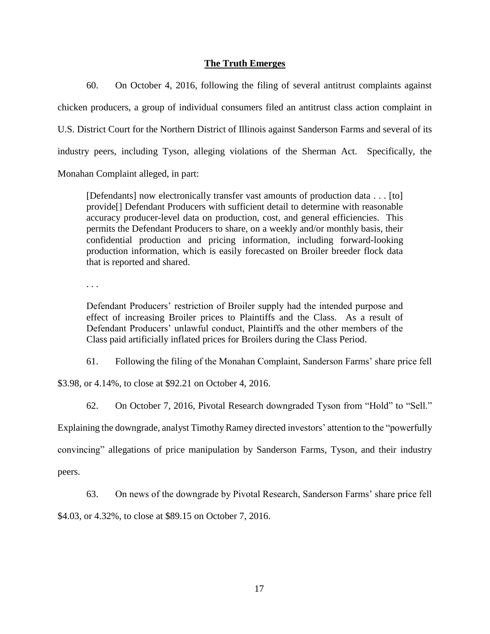# **The Truth Emerges**

60. On October 4, 2016, following the filing of several antitrust complaints against chicken producers, a group of individual consumers filed an antitrust class action complaint in U.S. District Court for the Northern District of Illinois against Sanderson Farms and several of its industry peers, including Tyson, alleging violations of the Sherman Act. Specifically, the Monahan Complaint alleged, in part:

[Defendants] now electronically transfer vast amounts of production data . . . [to] provide[] Defendant Producers with sufficient detail to determine with reasonable accuracy producer-level data on production, cost, and general efficiencies. This permits the Defendant Producers to share, on a weekly and/or monthly basis, their confidential production and pricing information, including forward-looking production information, which is easily forecasted on Broiler breeder flock data that is reported and shared.

. . .

Defendant Producers' restriction of Broiler supply had the intended purpose and effect of increasing Broiler prices to Plaintiffs and the Class. As a result of Defendant Producers' unlawful conduct, Plaintiffs and the other members of the Class paid artificially inflated prices for Broilers during the Class Period.

61. Following the filing of the Monahan Complaint, Sanderson Farms' share price fell

\$3.98, or 4.14%, to close at \$92.21 on October 4, 2016.

62. On October 7, 2016, Pivotal Research downgraded Tyson from "Hold" to "Sell."

Explaining the downgrade, analyst Timothy Ramey directed investors' attention to the "powerfully

convincing" allegations of price manipulation by Sanderson Farms, Tyson, and their industry

peers.

63. On news of the downgrade by Pivotal Research, Sanderson Farms' share price fell

\$4.03, or 4.32%, to close at \$89.15 on October 7, 2016.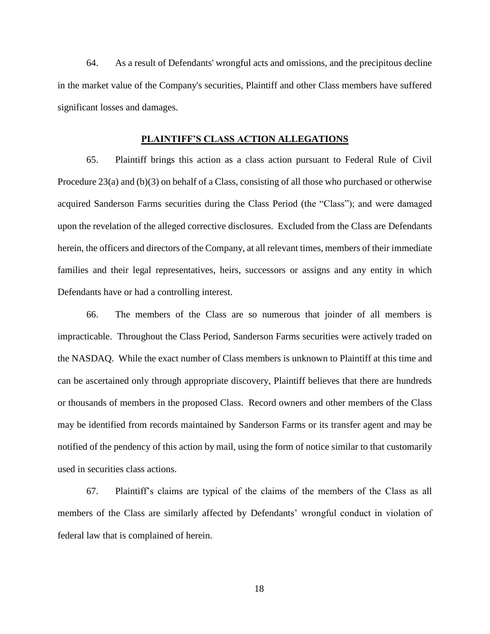64. As a result of Defendants' wrongful acts and omissions, and the precipitous decline in the market value of the Company's securities, Plaintiff and other Class members have suffered significant losses and damages.

## **PLAINTIFF'S CLASS ACTION ALLEGATIONS**

65. Plaintiff brings this action as a class action pursuant to Federal Rule of Civil Procedure 23(a) and (b)(3) on behalf of a Class, consisting of all those who purchased or otherwise acquired Sanderson Farms securities during the Class Period (the "Class"); and were damaged upon the revelation of the alleged corrective disclosures. Excluded from the Class are Defendants herein, the officers and directors of the Company, at all relevant times, members of their immediate families and their legal representatives, heirs, successors or assigns and any entity in which Defendants have or had a controlling interest.

66. The members of the Class are so numerous that joinder of all members is impracticable. Throughout the Class Period, Sanderson Farms securities were actively traded on the NASDAQ. While the exact number of Class members is unknown to Plaintiff at this time and can be ascertained only through appropriate discovery, Plaintiff believes that there are hundreds or thousands of members in the proposed Class. Record owners and other members of the Class may be identified from records maintained by Sanderson Farms or its transfer agent and may be notified of the pendency of this action by mail, using the form of notice similar to that customarily used in securities class actions.

67. Plaintiff's claims are typical of the claims of the members of the Class as all members of the Class are similarly affected by Defendants' wrongful conduct in violation of federal law that is complained of herein.

18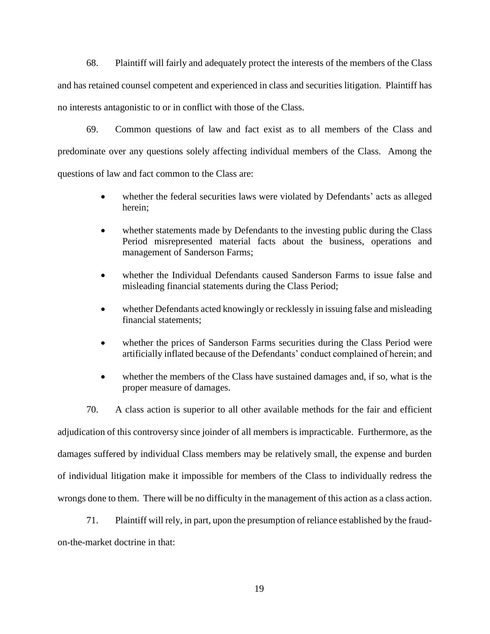68. Plaintiff will fairly and adequately protect the interests of the members of the Class and has retained counsel competent and experienced in class and securities litigation. Plaintiff has no interests antagonistic to or in conflict with those of the Class.

69. Common questions of law and fact exist as to all members of the Class and predominate over any questions solely affecting individual members of the Class. Among the questions of law and fact common to the Class are:

- whether the federal securities laws were violated by Defendants' acts as alleged herein;
- whether statements made by Defendants to the investing public during the Class Period misrepresented material facts about the business, operations and management of Sanderson Farms;
- whether the Individual Defendants caused Sanderson Farms to issue false and misleading financial statements during the Class Period;
- whether Defendants acted knowingly or recklessly in issuing false and misleading financial statements;
- whether the prices of Sanderson Farms securities during the Class Period were artificially inflated because of the Defendants' conduct complained of herein; and
- whether the members of the Class have sustained damages and, if so, what is the proper measure of damages.

70. A class action is superior to all other available methods for the fair and efficient adjudication of this controversy since joinder of all members is impracticable. Furthermore, as the damages suffered by individual Class members may be relatively small, the expense and burden of individual litigation make it impossible for members of the Class to individually redress the wrongs done to them. There will be no difficulty in the management of this action as a class action.

71. Plaintiff will rely, in part, upon the presumption of reliance established by the fraud-

on-the-market doctrine in that: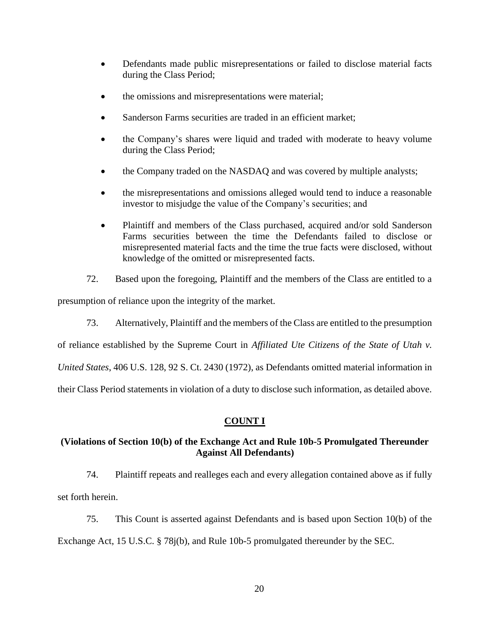- Defendants made public misrepresentations or failed to disclose material facts during the Class Period;
- the omissions and misrepresentations were material;
- Sanderson Farms securities are traded in an efficient market;
- the Company's shares were liquid and traded with moderate to heavy volume during the Class Period;
- the Company traded on the NASDAQ and was covered by multiple analysts;
- the misrepresentations and omissions alleged would tend to induce a reasonable investor to misjudge the value of the Company's securities; and
- Plaintiff and members of the Class purchased, acquired and/or sold Sanderson Farms securities between the time the Defendants failed to disclose or misrepresented material facts and the time the true facts were disclosed, without knowledge of the omitted or misrepresented facts.
- 72. Based upon the foregoing, Plaintiff and the members of the Class are entitled to a

presumption of reliance upon the integrity of the market.

73. Alternatively, Plaintiff and the members of the Class are entitled to the presumption

of reliance established by the Supreme Court in *Affiliated Ute Citizens of the State of Utah v.* 

*United States*, 406 U.S. 128, 92 S. Ct. 2430 (1972), as Defendants omitted material information in

their Class Period statements in violation of a duty to disclose such information, as detailed above.

# **COUNT I**

# **(Violations of Section 10(b) of the Exchange Act and Rule 10b-5 Promulgated Thereunder Against All Defendants)**

74. Plaintiff repeats and realleges each and every allegation contained above as if fully set forth herein.

75. This Count is asserted against Defendants and is based upon Section 10(b) of the

Exchange Act, 15 U.S.C. § 78j(b), and Rule 10b-5 promulgated thereunder by the SEC.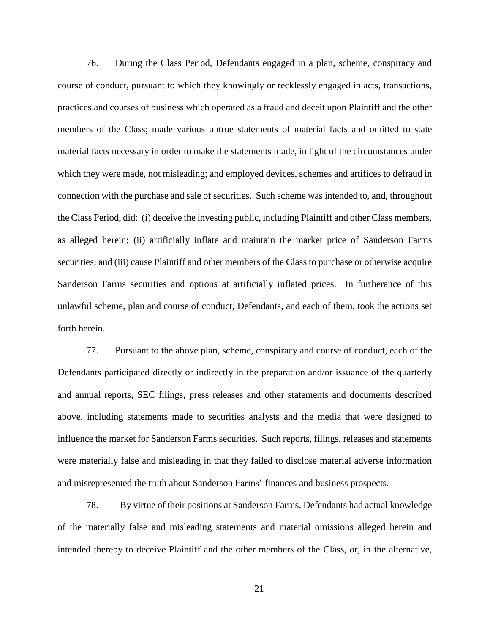76. During the Class Period, Defendants engaged in a plan, scheme, conspiracy and course of conduct, pursuant to which they knowingly or recklessly engaged in acts, transactions, practices and courses of business which operated as a fraud and deceit upon Plaintiff and the other members of the Class; made various untrue statements of material facts and omitted to state material facts necessary in order to make the statements made, in light of the circumstances under which they were made, not misleading; and employed devices, schemes and artifices to defraud in connection with the purchase and sale of securities. Such scheme was intended to, and, throughout the Class Period, did: (i) deceive the investing public, including Plaintiff and other Class members, as alleged herein; (ii) artificially inflate and maintain the market price of Sanderson Farms securities; and (iii) cause Plaintiff and other members of the Class to purchase or otherwise acquire Sanderson Farms securities and options at artificially inflated prices. In furtherance of this unlawful scheme, plan and course of conduct, Defendants, and each of them, took the actions set forth herein.

77. Pursuant to the above plan, scheme, conspiracy and course of conduct, each of the Defendants participated directly or indirectly in the preparation and/or issuance of the quarterly and annual reports, SEC filings, press releases and other statements and documents described above, including statements made to securities analysts and the media that were designed to influence the market for Sanderson Farms securities. Such reports, filings, releases and statements were materially false and misleading in that they failed to disclose material adverse information and misrepresented the truth about Sanderson Farms' finances and business prospects.

78. By virtue of their positions at Sanderson Farms, Defendants had actual knowledge of the materially false and misleading statements and material omissions alleged herein and intended thereby to deceive Plaintiff and the other members of the Class, or, in the alternative,

21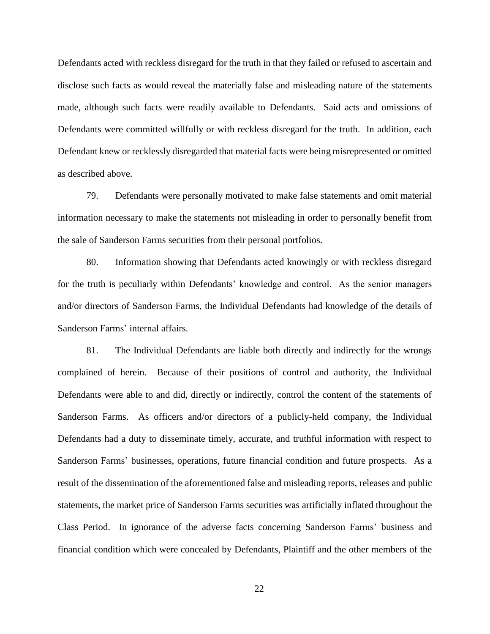Defendants acted with reckless disregard for the truth in that they failed or refused to ascertain and disclose such facts as would reveal the materially false and misleading nature of the statements made, although such facts were readily available to Defendants. Said acts and omissions of Defendants were committed willfully or with reckless disregard for the truth. In addition, each Defendant knew or recklessly disregarded that material facts were being misrepresented or omitted as described above.

79. Defendants were personally motivated to make false statements and omit material information necessary to make the statements not misleading in order to personally benefit from the sale of Sanderson Farms securities from their personal portfolios.

80. Information showing that Defendants acted knowingly or with reckless disregard for the truth is peculiarly within Defendants' knowledge and control. As the senior managers and/or directors of Sanderson Farms, the Individual Defendants had knowledge of the details of Sanderson Farms' internal affairs.

81. The Individual Defendants are liable both directly and indirectly for the wrongs complained of herein. Because of their positions of control and authority, the Individual Defendants were able to and did, directly or indirectly, control the content of the statements of Sanderson Farms. As officers and/or directors of a publicly-held company, the Individual Defendants had a duty to disseminate timely, accurate, and truthful information with respect to Sanderson Farms' businesses, operations, future financial condition and future prospects. As a result of the dissemination of the aforementioned false and misleading reports, releases and public statements, the market price of Sanderson Farms securities was artificially inflated throughout the Class Period. In ignorance of the adverse facts concerning Sanderson Farms' business and financial condition which were concealed by Defendants, Plaintiff and the other members of the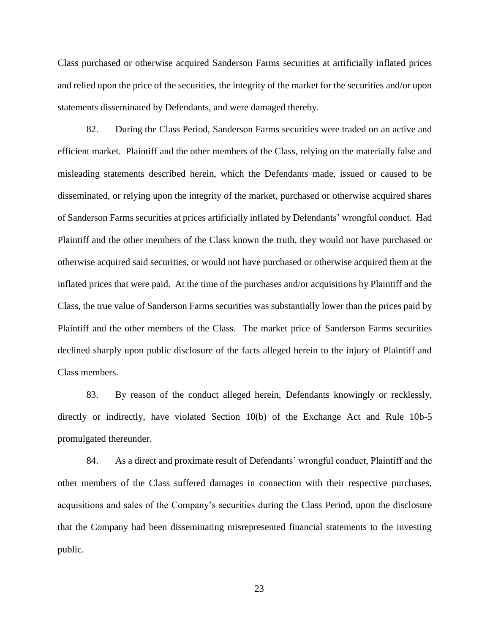Class purchased or otherwise acquired Sanderson Farms securities at artificially inflated prices and relied upon the price of the securities, the integrity of the market for the securities and/or upon statements disseminated by Defendants, and were damaged thereby.

82. During the Class Period, Sanderson Farms securities were traded on an active and efficient market. Plaintiff and the other members of the Class, relying on the materially false and misleading statements described herein, which the Defendants made, issued or caused to be disseminated, or relying upon the integrity of the market, purchased or otherwise acquired shares of Sanderson Farms securities at prices artificially inflated by Defendants' wrongful conduct. Had Plaintiff and the other members of the Class known the truth, they would not have purchased or otherwise acquired said securities, or would not have purchased or otherwise acquired them at the inflated prices that were paid. At the time of the purchases and/or acquisitions by Plaintiff and the Class, the true value of Sanderson Farms securities was substantially lower than the prices paid by Plaintiff and the other members of the Class. The market price of Sanderson Farms securities declined sharply upon public disclosure of the facts alleged herein to the injury of Plaintiff and Class members.

83. By reason of the conduct alleged herein, Defendants knowingly or recklessly, directly or indirectly, have violated Section 10(b) of the Exchange Act and Rule 10b-5 promulgated thereunder.

84. As a direct and proximate result of Defendants' wrongful conduct, Plaintiff and the other members of the Class suffered damages in connection with their respective purchases, acquisitions and sales of the Company's securities during the Class Period, upon the disclosure that the Company had been disseminating misrepresented financial statements to the investing public.

23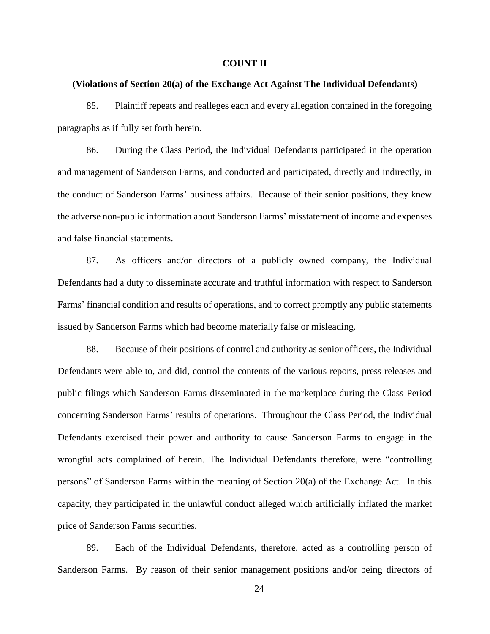## **COUNT II**

## **(Violations of Section 20(a) of the Exchange Act Against The Individual Defendants)**

85. Plaintiff repeats and realleges each and every allegation contained in the foregoing paragraphs as if fully set forth herein.

86. During the Class Period, the Individual Defendants participated in the operation and management of Sanderson Farms, and conducted and participated, directly and indirectly, in the conduct of Sanderson Farms' business affairs. Because of their senior positions, they knew the adverse non-public information about Sanderson Farms' misstatement of income and expenses and false financial statements.

87. As officers and/or directors of a publicly owned company, the Individual Defendants had a duty to disseminate accurate and truthful information with respect to Sanderson Farms' financial condition and results of operations, and to correct promptly any public statements issued by Sanderson Farms which had become materially false or misleading.

88. Because of their positions of control and authority as senior officers, the Individual Defendants were able to, and did, control the contents of the various reports, press releases and public filings which Sanderson Farms disseminated in the marketplace during the Class Period concerning Sanderson Farms' results of operations. Throughout the Class Period, the Individual Defendants exercised their power and authority to cause Sanderson Farms to engage in the wrongful acts complained of herein. The Individual Defendants therefore, were "controlling persons" of Sanderson Farms within the meaning of Section 20(a) of the Exchange Act. In this capacity, they participated in the unlawful conduct alleged which artificially inflated the market price of Sanderson Farms securities.

89. Each of the Individual Defendants, therefore, acted as a controlling person of Sanderson Farms. By reason of their senior management positions and/or being directors of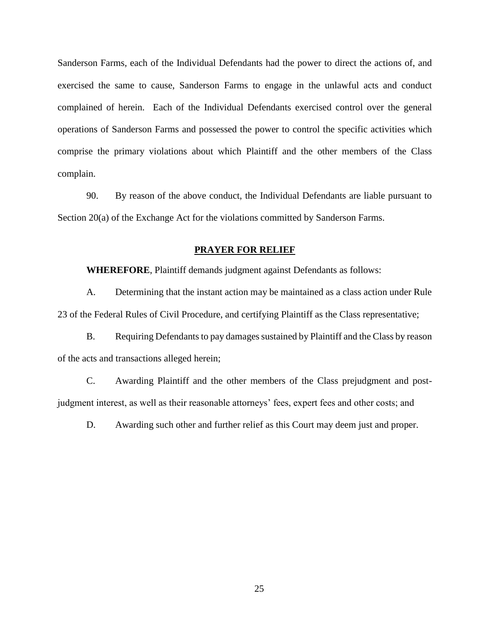Sanderson Farms, each of the Individual Defendants had the power to direct the actions of, and exercised the same to cause, Sanderson Farms to engage in the unlawful acts and conduct complained of herein. Each of the Individual Defendants exercised control over the general operations of Sanderson Farms and possessed the power to control the specific activities which comprise the primary violations about which Plaintiff and the other members of the Class complain.

90. By reason of the above conduct, the Individual Defendants are liable pursuant to Section 20(a) of the Exchange Act for the violations committed by Sanderson Farms.

## **PRAYER FOR RELIEF**

**WHEREFORE**, Plaintiff demands judgment against Defendants as follows:

A. Determining that the instant action may be maintained as a class action under Rule 23 of the Federal Rules of Civil Procedure, and certifying Plaintiff as the Class representative;

B. Requiring Defendants to pay damages sustained by Plaintiff and the Class by reason of the acts and transactions alleged herein;

C. Awarding Plaintiff and the other members of the Class prejudgment and postjudgment interest, as well as their reasonable attorneys' fees, expert fees and other costs; and

D. Awarding such other and further relief as this Court may deem just and proper.

25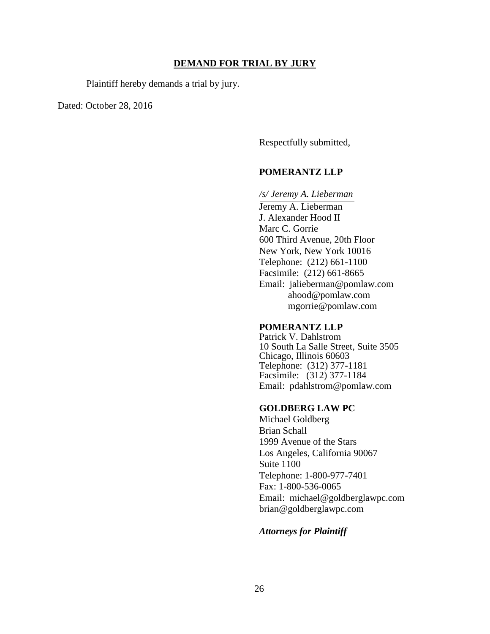## **DEMAND FOR TRIAL BY JURY**

Plaintiff hereby demands a trial by jury.

Dated: October 28, 2016

Respectfully submitted,

# **POMERANTZ LLP**

#### */s/ Jeremy A. Lieberman*

Jeremy A. Lieberman J. Alexander Hood II Marc C. Gorrie 600 Third Avenue, 20th Floor New York, New York 10016 Telephone: (212) 661-1100 Facsimile: (212) 661-8665 Email: jalieberman@pomlaw.com ahood@pomlaw.com mgorrie@pomlaw.com

## **POMERANTZ LLP**

Patrick V. Dahlstrom 10 South La Salle Street, Suite 3505 Chicago, Illinois 60603 Telephone: (312) 377-1181 Facsimile: (312) 377-1184 Email: pdahlstrom@pomlaw.com

## **GOLDBERG LAW PC**

Michael Goldberg Brian Schall 1999 Avenue of the Stars Los Angeles, California 90067 Suite 1100 Telephone: 1-800-977-7401 Fax: 1-800-536-0065 Email: michael@goldberglawpc.com brian@goldberglawpc.com

## *Attorneys for Plaintiff*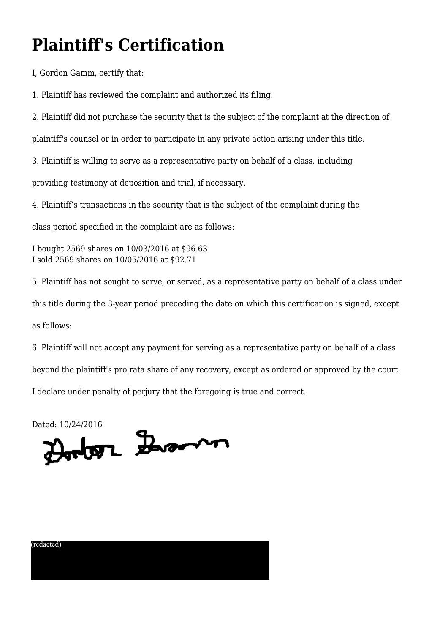# **Plaintiff's Certification**

I, Gordon Gamm, certify that:

1. Plaintiff has reviewed the complaint and authorized its filing.

2. Plaintiff did not purchase the security that is the subject of the complaint at the direction of

plaintiff's counsel or in order to participate in any private action arising under this title.

3. Plaintiff is willing to serve as a representative party on behalf of a class, including

providing testimony at deposition and trial, if necessary.

4. Plaintiff's transactions in the security that is the subject of the complaint during the

class period specified in the complaint are as follows:

I bought 2569 shares on 10/03/2016 at \$96.63 I sold 2569 shares on 10/05/2016 at \$92.71

5. Plaintiff has not sought to serve, or served, as a representative party on behalf of a class under this title during the 3-year period preceding the date on which this certification is signed, except as follows:

6. Plaintiff will not accept any payment for serving as a representative party on behalf of a class beyond the plaintiff's pro rata share of any recovery, except as ordered or approved by the court. I declare under penalty of perjury that the foregoing is true and correct.

Dated: 10/24/2016